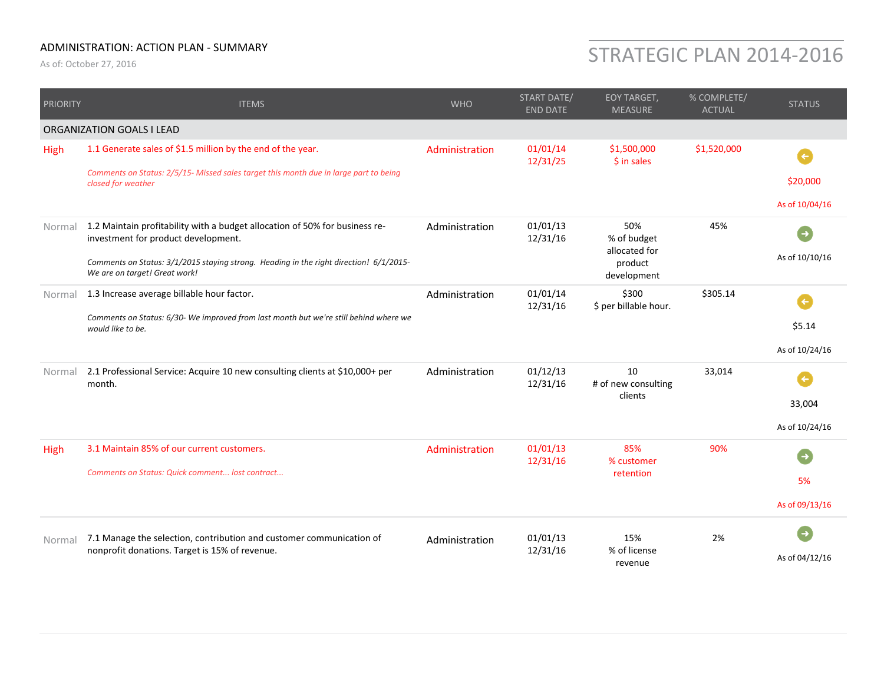## ADMINISTRATION: ACTION PLAN ‐ SUMMARY

## ADMINISTRATION: ACTION PLAN - SUMMARY<br>As of: October 27, 2016

| <b>PRIORITY</b> | <b>ITEMS</b>                                                                                                            | <b>WHO</b>     | START DATE/<br><b>END DATE</b> | <b>EOY TARGET,</b><br><b>MEASURE</b>                          | % COMPLETE/<br><b>ACTUAL</b> | <b>STATUS</b>  |
|-----------------|-------------------------------------------------------------------------------------------------------------------------|----------------|--------------------------------|---------------------------------------------------------------|------------------------------|----------------|
|                 | ORGANIZATION GOALS I LEAD                                                                                               |                |                                |                                                               |                              |                |
| High            | 1.1 Generate sales of \$1.5 million by the end of the year.                                                             | Administration | 01/01/14<br>12/31/25           | \$1,500,000<br>$$$ in sales                                   | \$1,520,000                  | $\left( $      |
|                 | Comments on Status: 2/5/15- Missed sales target this month due in large part to being<br>closed for weather             |                |                                |                                                               |                              | \$20,000       |
|                 |                                                                                                                         |                |                                |                                                               |                              | As of 10/04/16 |
| Normal          | 1.2 Maintain profitability with a budget allocation of 50% for business re-<br>investment for product development.      | Administration | 01/01/13<br>12/31/16           | 50%<br>% of budget<br>allocated for<br>product<br>development | 45%                          | $\rightarrow$  |
|                 | Comments on Status: 3/1/2015 staying strong. Heading in the right direction! 6/1/2015-<br>We are on target! Great work! |                |                                |                                                               |                              | As of 10/10/16 |
| Normal          | 1.3 Increase average billable hour factor.                                                                              | Administration | 01/01/14<br>12/31/16           | \$300<br>\$ per billable hour.                                | \$305.14                     |                |
|                 | Comments on Status: 6/30- We improved from last month but we're still behind where we<br>would like to be.              |                |                                |                                                               |                              | \$5.14         |
|                 |                                                                                                                         |                |                                |                                                               |                              | As of 10/24/16 |
| Normal          | 2.1 Professional Service: Acquire 10 new consulting clients at \$10,000+ per<br>month.                                  | Administration | 01/12/13<br>12/31/16           | 10<br># of new consulting<br>clients                          | 33,014                       |                |
|                 |                                                                                                                         |                |                                |                                                               |                              | 33,004         |
|                 |                                                                                                                         |                |                                |                                                               |                              | As of 10/24/16 |
| High            | 3.1 Maintain 85% of our current customers.<br>Comments on Status: Quick comment lost contract                           | Administration | 01/01/13<br>12/31/16           | 85%<br>% customer<br>retention                                | 90%                          |                |
|                 |                                                                                                                         |                |                                |                                                               |                              | 5%             |
|                 |                                                                                                                         |                |                                |                                                               |                              | As of 09/13/16 |
| Normal          | 7.1 Manage the selection, contribution and customer communication of                                                    | Administration | 01/01/13                       | 15%                                                           | 2%                           |                |
|                 | nonprofit donations. Target is 15% of revenue.                                                                          |                | 12/31/16                       | % of license<br>revenue                                       |                              | As of 04/12/16 |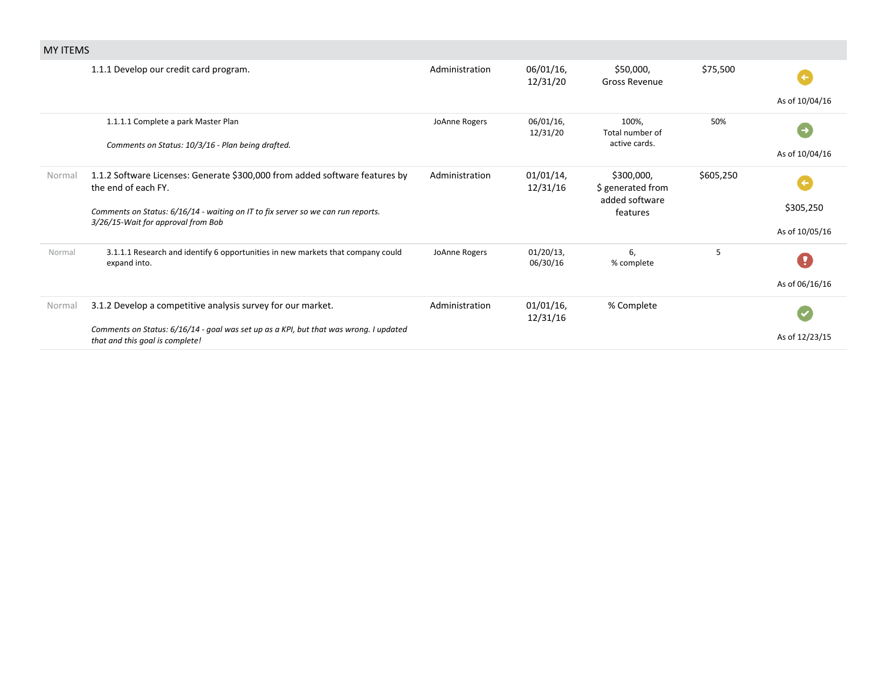| <b>MY ITEMS</b> |                                                                                                                          |                |                          |                                 |           |                |
|-----------------|--------------------------------------------------------------------------------------------------------------------------|----------------|--------------------------|---------------------------------|-----------|----------------|
|                 | 1.1.1 Develop our credit card program.                                                                                   | Administration | 06/01/16,<br>12/31/20    | \$50,000,<br>Gross Revenue      | \$75,500  |                |
|                 |                                                                                                                          |                |                          |                                 |           | As of 10/04/16 |
|                 | 1.1.1.1 Complete a park Master Plan                                                                                      | JoAnne Rogers  | 06/01/16,<br>12/31/20    | 100%,<br>Total number of        | 50%       | $\rightarrow$  |
|                 | Comments on Status: 10/3/16 - Plan being drafted.                                                                        |                |                          | active cards.                   |           | As of 10/04/16 |
| Normal          | 1.1.2 Software Licenses: Generate \$300,000 from added software features by<br>the end of each FY.                       | Administration | $01/01/14$ ,<br>12/31/16 | \$300,000,<br>\$ generated from | \$605,250 |                |
|                 | Comments on Status: 6/16/14 - waiting on IT to fix server so we can run reports.<br>3/26/15-Wait for approval from Bob   |                |                          | added software<br>features      |           | \$305,250      |
|                 |                                                                                                                          |                |                          |                                 |           | As of 10/05/16 |
| Normal          | 3.1.1.1 Research and identify 6 opportunities in new markets that company could<br>expand into.                          | JoAnne Rogers  | $01/20/13$ ,<br>06/30/16 | 6.<br>% complete                | 5         | y              |
|                 |                                                                                                                          |                |                          |                                 |           | As of 06/16/16 |
| Normal          | 3.1.2 Develop a competitive analysis survey for our market.                                                              | Administration | $01/01/16$ ,<br>12/31/16 | % Complete                      |           |                |
|                 | Comments on Status: 6/16/14 - goal was set up as a KPI, but that was wrong. I updated<br>that and this goal is complete! |                |                          |                                 |           | As of 12/23/15 |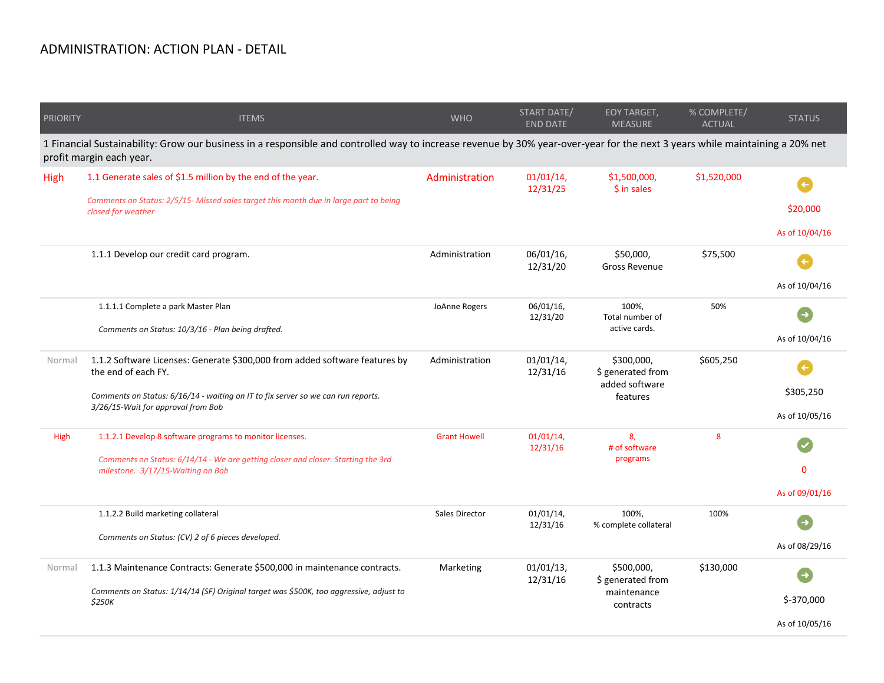## ADMINISTRATION: ACTION PLAN ‐ DETAIL

| <b>PRIORITY</b> | <b>ITEMS</b>                                                                                                                                                                                                                 | <b>WHO</b>          | START DATE/<br><b>END DATE</b> | EOY TARGET,<br><b>MEASURE</b>                                 | % COMPLETE/<br><b>ACTUAL</b> | <b>STATUS</b>                  |
|-----------------|------------------------------------------------------------------------------------------------------------------------------------------------------------------------------------------------------------------------------|---------------------|--------------------------------|---------------------------------------------------------------|------------------------------|--------------------------------|
|                 | 1 Financial Sustainability: Grow our business in a responsible and controlled way to increase revenue by 30% year-over-year for the next 3 years while maintaining a 20% net<br>profit margin each year.                     |                     |                                |                                                               |                              |                                |
| High            | 1.1 Generate sales of \$1.5 million by the end of the year.<br>Comments on Status: 2/5/15- Missed sales target this month due in large part to being                                                                         | Administration      | 01/01/14,<br>12/31/25          | \$1,500,000,<br>\$ in sales                                   | \$1,520,000                  | \$20,000                       |
|                 | closed for weather                                                                                                                                                                                                           |                     |                                |                                                               |                              | As of 10/04/16                 |
|                 | 1.1.1 Develop our credit card program.                                                                                                                                                                                       | Administration      | 06/01/16,<br>12/31/20          | \$50,000,<br>Gross Revenue                                    | \$75,500                     | $\leftarrow$<br>As of 10/04/16 |
|                 | 1.1.1.1 Complete a park Master Plan<br>Comments on Status: 10/3/16 - Plan being drafted.                                                                                                                                     | JoAnne Rogers       | 06/01/16,<br>12/31/20          | 100%,<br>Total number of<br>active cards.                     | 50%                          | As of 10/04/16                 |
| Normal          | 1.1.2 Software Licenses: Generate \$300,000 from added software features by<br>the end of each FY.<br>Comments on Status: 6/16/14 - waiting on IT to fix server so we can run reports.<br>3/26/15-Wait for approval from Bob | Administration      | 01/01/14,<br>12/31/16          | \$300,000,<br>\$ generated from<br>added software<br>features | \$605,250                    | \$305,250<br>As of 10/05/16    |
| High            | 1.1.2.1 Develop 8 software programs to monitor licenses.<br>Comments on Status: 6/14/14 - We are getting closer and closer. Starting the 3rd<br>milestone. 3/17/15-Waiting on Bob                                            | <b>Grant Howell</b> | $01/01/14$ ,<br>12/31/16       | 8,<br># of software<br>programs                               | 8                            | $\Omega$<br>As of 09/01/16     |
|                 | 1.1.2.2 Build marketing collateral<br>Comments on Status: (CV) 2 of 6 pieces developed.                                                                                                                                      | Sales Director      | 01/01/14,<br>12/31/16          | 100%,<br>% complete collateral                                | 100%                         | As of 08/29/16                 |
| Normal          | 1.1.3 Maintenance Contracts: Generate \$500,000 in maintenance contracts.<br>Comments on Status: 1/14/14 (SF) Original target was \$500K, too aggressive, adjust to<br>\$250K                                                | Marketing           | 01/01/13,<br>12/31/16          | \$500,000,<br>\$ generated from<br>maintenance<br>contracts   | \$130,000                    | \$-370,000<br>As of 10/05/16   |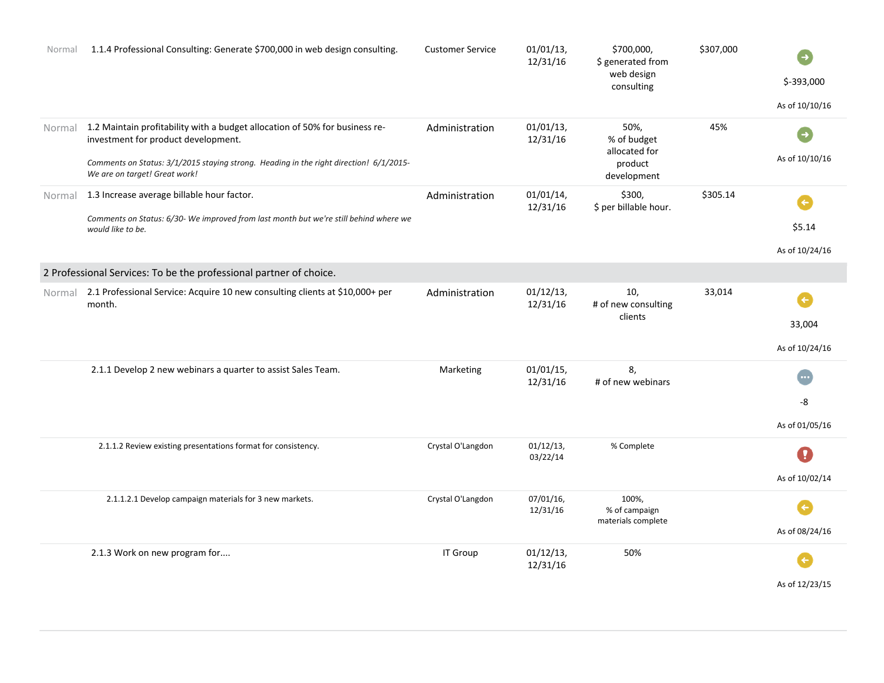| Normal | 1.1.4 Professional Consulting: Generate \$700,000 in web design consulting.                                                                                                                                                                          | <b>Customer Service</b> | 01/01/13,<br>12/31/16    | \$700,000,<br>\$ generated from<br>web design<br>consulting    | \$307,000 | \$-393,000<br>As of 10/10/16             |
|--------|------------------------------------------------------------------------------------------------------------------------------------------------------------------------------------------------------------------------------------------------------|-------------------------|--------------------------|----------------------------------------------------------------|-----------|------------------------------------------|
|        | Normal 1.2 Maintain profitability with a budget allocation of 50% for business re-<br>investment for product development.<br>Comments on Status: 3/1/2015 staying strong. Heading in the right direction! 6/1/2015-<br>We are on target! Great work! | Administration          | $01/01/13$ ,<br>12/31/16 | 50%,<br>% of budget<br>allocated for<br>product<br>development | 45%       | $\rightarrow$<br>As of 10/10/16          |
| Normal | 1.3 Increase average billable hour factor.<br>Comments on Status: 6/30- We improved from last month but we're still behind where we<br>would like to be.                                                                                             | Administration          | 01/01/14,<br>12/31/16    | \$300,<br>\$ per billable hour.                                | \$305.14  | $\leftarrow$<br>\$5.14<br>As of 10/24/16 |
|        | 2 Professional Services: To be the professional partner of choice.                                                                                                                                                                                   |                         |                          |                                                                |           |                                          |
| Normal | 2.1 Professional Service: Acquire 10 new consulting clients at \$10,000+ per<br>month.                                                                                                                                                               | Administration          | $01/12/13$ ,<br>12/31/16 | 10,<br># of new consulting<br>clients                          | 33,014    | $\leftarrow$<br>33,004<br>As of 10/24/16 |
|        | 2.1.1 Develop 2 new webinars a quarter to assist Sales Team.                                                                                                                                                                                         | Marketing               | $01/01/15$ ,<br>12/31/16 | 8,<br># of new webinars                                        |           | -8<br>As of 01/05/16                     |
|        | 2.1.1.2 Review existing presentations format for consistency.                                                                                                                                                                                        | Crystal O'Langdon       | 01/12/13,<br>03/22/14    | % Complete                                                     |           | Y<br>As of 10/02/14                      |
|        | 2.1.1.2.1 Develop campaign materials for 3 new markets.                                                                                                                                                                                              | Crystal O'Langdon       | 07/01/16,<br>12/31/16    | 100%,<br>% of campaign<br>materials complete                   |           | As of 08/24/16                           |
|        | 2.1.3 Work on new program for                                                                                                                                                                                                                        | IT Group                | 01/12/13,<br>12/31/16    | 50%                                                            |           | As of 12/23/15                           |